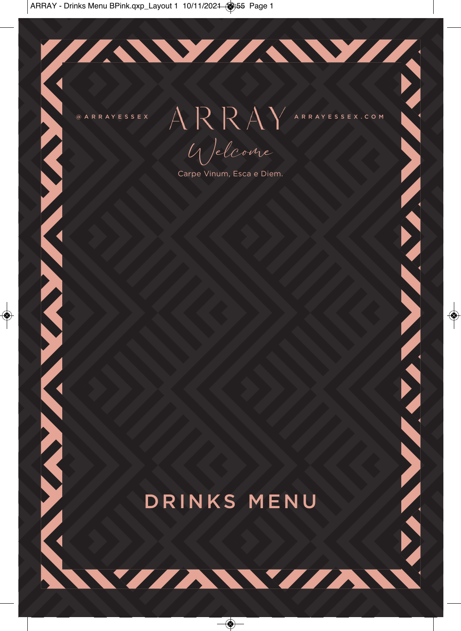**ANTARIAN TANAN TANAN** 

@ARRAYESSEX A RAYESSEX.COM Welcome

77. WYTAW 1

Carpe Vinum, Esca e Diem.

**TANKA YA KANA MAREKA MAREKA TAN** 

# DRINKS MENU

VIAWIA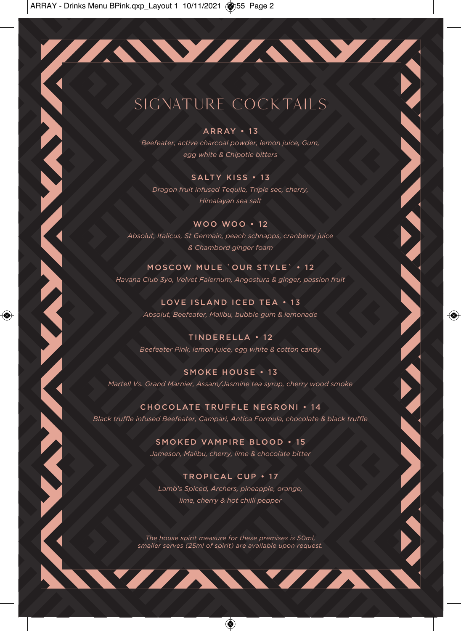# SIGNATURE COCKTAILS

#### ARRAY • 13

*Beefeater, active charcoal powder, lemon juice, Gum, egg white & Chipotle bitters*

#### SALTY KISS • 13

*Dragon fruit infused Tequila, Triple sec, cherry, Himalayan sea salt*

WOO WOO • 12 *Absolut, Italicus, St Germain, peach schnapps, cranberry juice & Chambord ginger foam*

**Contract Contract Contract Contract** 

#### MOSCOW MULE `OUR STYLE` • 1 2 *Havana Club 3yo, Velvet Falernum, Angostura & ginger, passion fruit*

LOVE ISLAND ICED TEA • 13 *Absolut, Beefeater, Malibu, bubble gum & lemonade*

TINDERELLA • 12 *Beefeater Pink, lemon juice, egg white & cotton candy* 

SMOKE HOUSE • 13 *Martell Vs. Grand Marnier, Assam/Jasmine tea syrup, cherry wood smoke*

CHOCOLATE TRUFFLE NEGRONI • 14 *Black truffle infused Beefeater, Campari, Antica Formula, chocolate & black truffle*

> SMOKED VAMPIRE BLOOD • 15 *Jameson, Malibu, cherry, lime & chocolate bitter*

#### TROPICAL CUP • 17

*Lamb's Spiced, Archers, pineapple, orange, lime, cherry & hot chilli pepper*

*The house spirit measure for these premises is 50ml, smaller serves (25ml of spirit) are available upon request.* 

WYZAWYZAW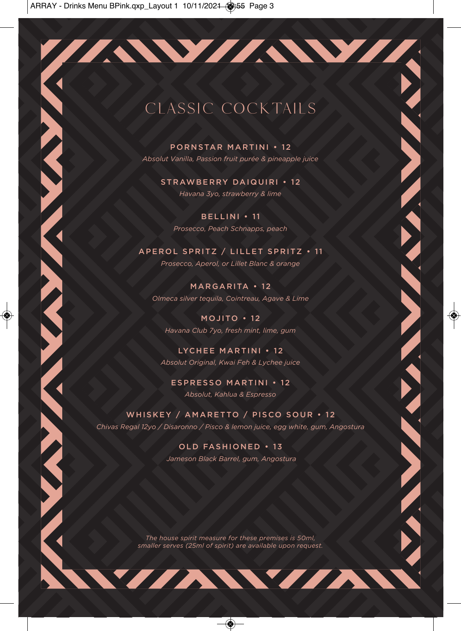# CLASSIC COCKTAILS

PORNSTAR MARTINI • 1 2 *Absolut Vanilla, Passion fruit purée & pineapple juice*

> STRAWBERRY DAIQUIRI • 1 2 *Havana 3yo, strawberry & lime*

BELLINI • 11 *Prosecco, Peach Schnapps, peach*

APEROL SPRITZ / LILLET SPRITZ • 1 1 *Prosecco, Aperol, or Lillet Blanc & orange* 

MARGARITA • 12 *Olmeca silver tequila, Cointreau, Agave & Lime*

MOJITO  $\cdot$  12 *Havana Club 7yo, fresh mint, lime, gum*

LYCHEE MARTINI • 12 *Absolut Original, Kwai Feh & Lychee juice* 

ESPRESSO MARTINI • 12 *Absolut, Kahlua & Espresso* 

WHISKEY / AMARETTO / PISCO SOUR • 1 2 *Chivas Regal 12yo / Disaronno / Pisco & lemon juice, egg white, gum, Angostura*

> OLD FASHIONED • 13  *Jameson Black Barrel, gum, Angostura*

**CONTRACTOR** 

*The house spirit measure for these premises is 50ml, smaller serves (25ml of spirit) are available upon request.* 

WYAWYAN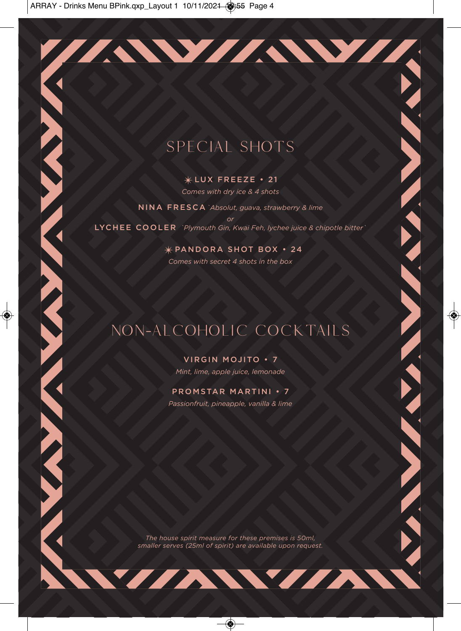# SPECIAL SHOTS

 $*$ LUX FREEZE • 21

*Comes with dry ice & 4 shots* 

NINA FRESCA*`Absolut, guava, strawberry & lime or* LYCHEE COOLER *`Plymouth Gin, Kwai Feh, lychee juice & chipotle bitter`*

> ✴PANDORA SHOT BOX • 24 *Comes with secret 4 shots in the box*

# NON-ALCOHOLIC COCKTAILS

VIRGIN MOJITO • 7 *Mint, lime, apple juice, lemonade* 

#### PROMSTAR MARTINI • 7

*Passionfruit, pineapple, vanilla & lime*

*The house spirit measure for these premises is 50ml, smaller serves (25ml of spirit) are available upon request.* 

WYZAWYZA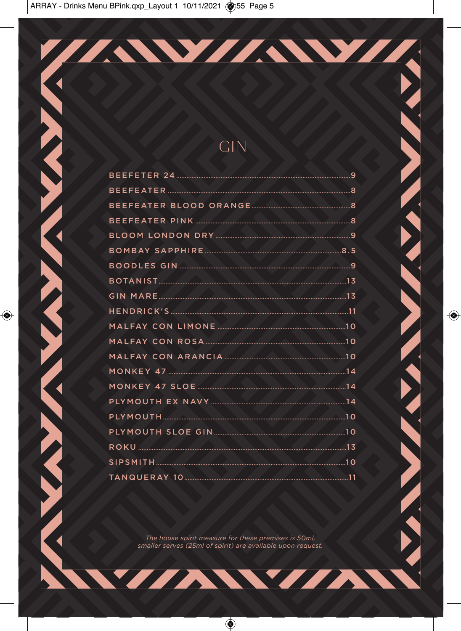#### **GIN**

**AND MARKET MARKET** 

**AVANT** 

**TANK** 

TAWAWA

The house spirit measure for these premises is 50ml, smaller serves (25ml of spirit) are available upon request.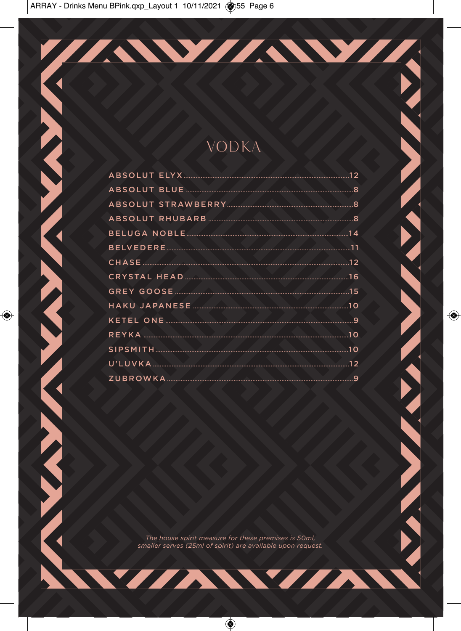| TAWIANYI T                                                                                                                                                                                                                    |  |
|-------------------------------------------------------------------------------------------------------------------------------------------------------------------------------------------------------------------------------|--|
|                                                                                                                                                                                                                               |  |
|                                                                                                                                                                                                                               |  |
|                                                                                                                                                                                                                               |  |
|                                                                                                                                                                                                                               |  |
|                                                                                                                                                                                                                               |  |
| VODKA                                                                                                                                                                                                                         |  |
|                                                                                                                                                                                                                               |  |
| ABSOLUT BLUE AND A BOOK AND A BOOK AND A BOOK AND A BOOK AND A BOOK AND A BOOK AND A BOOK AND A BOOK AND A BOOK AND A BOOK AND A BOOK AND A BOOK AND A BOOK AND A BOOK AND A BOOK AND A BOOK AND A BOOK AND A BOOK AND A BOOK |  |
|                                                                                                                                                                                                                               |  |
|                                                                                                                                                                                                                               |  |
|                                                                                                                                                                                                                               |  |
|                                                                                                                                                                                                                               |  |
|                                                                                                                                                                                                                               |  |
|                                                                                                                                                                                                                               |  |
|                                                                                                                                                                                                                               |  |
|                                                                                                                                                                                                                               |  |
|                                                                                                                                                                                                                               |  |
| REYKA 2008 10                                                                                                                                                                                                                 |  |
|                                                                                                                                                                                                                               |  |
|                                                                                                                                                                                                                               |  |
|                                                                                                                                                                                                                               |  |
|                                                                                                                                                                                                                               |  |
|                                                                                                                                                                                                                               |  |
|                                                                                                                                                                                                                               |  |
|                                                                                                                                                                                                                               |  |
|                                                                                                                                                                                                                               |  |
|                                                                                                                                                                                                                               |  |
|                                                                                                                                                                                                                               |  |
|                                                                                                                                                                                                                               |  |
|                                                                                                                                                                                                                               |  |
| The house spirit measure for these premises is 50ml,<br>smaller serves (25ml of spirit) are available upon request.                                                                                                           |  |
|                                                                                                                                                                                                                               |  |
|                                                                                                                                                                                                                               |  |
| <u> ANVIANYIAN</u>                                                                                                                                                                                                            |  |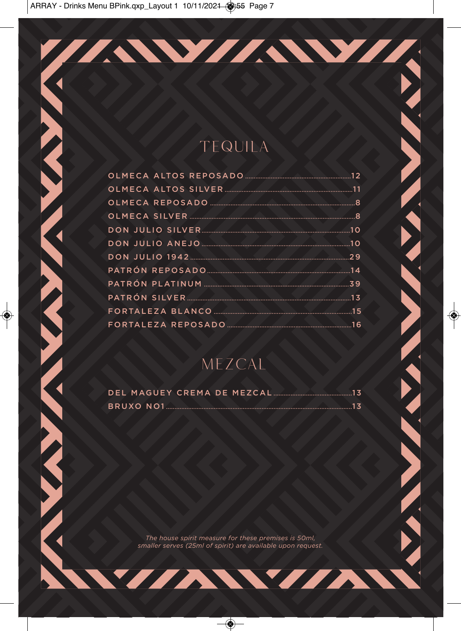| TAWAWA                                                      |  |
|-------------------------------------------------------------|--|
|                                                             |  |
|                                                             |  |
|                                                             |  |
|                                                             |  |
|                                                             |  |
|                                                             |  |
| TEQUILA                                                     |  |
|                                                             |  |
|                                                             |  |
|                                                             |  |
|                                                             |  |
|                                                             |  |
|                                                             |  |
|                                                             |  |
| <b>PATRÓN REPOSADO</b> 2008 2008 2014                       |  |
|                                                             |  |
|                                                             |  |
|                                                             |  |
|                                                             |  |
|                                                             |  |
|                                                             |  |
| MEZCAL                                                      |  |
|                                                             |  |
|                                                             |  |
|                                                             |  |
|                                                             |  |
|                                                             |  |
|                                                             |  |
|                                                             |  |
|                                                             |  |
|                                                             |  |
|                                                             |  |
|                                                             |  |
| The house spirit measure for these premises is 50ml.        |  |
| smaller serves (25ml of spirit) are available upon request. |  |
|                                                             |  |
|                                                             |  |
| WANVAN                                                      |  |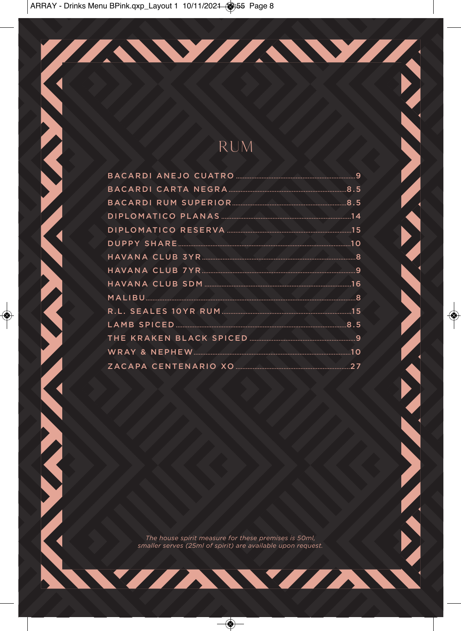| TAWANYA                                                     |  |
|-------------------------------------------------------------|--|
|                                                             |  |
|                                                             |  |
|                                                             |  |
|                                                             |  |
|                                                             |  |
| RUM                                                         |  |
|                                                             |  |
|                                                             |  |
|                                                             |  |
|                                                             |  |
|                                                             |  |
|                                                             |  |
|                                                             |  |
| HAVANA CLUB 3YR 377 2004                                    |  |
|                                                             |  |
|                                                             |  |
|                                                             |  |
|                                                             |  |
|                                                             |  |
|                                                             |  |
|                                                             |  |
|                                                             |  |
|                                                             |  |
|                                                             |  |
|                                                             |  |
|                                                             |  |
|                                                             |  |
|                                                             |  |
|                                                             |  |
|                                                             |  |
|                                                             |  |
|                                                             |  |
|                                                             |  |
| The house spirit measure for these premises is 50ml,        |  |
| smaller serves (25ml of spirit) are available upon request. |  |
|                                                             |  |
| <i>NNVIANNIAN</i>                                           |  |
|                                                             |  |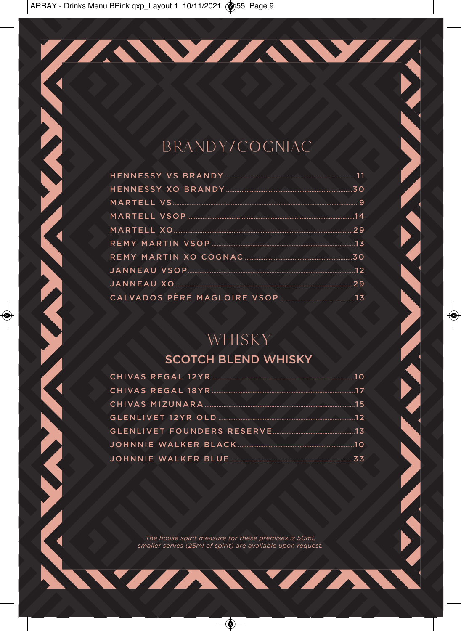## **BRANDY/COGNIAC**

**CONTRACTOR** 

WAN

TAWIAWIA

| MARTELL VSOP                                |  |
|---------------------------------------------|--|
| MARTELL XO 2020 2020 2020 2020 2020 2020 20 |  |
|                                             |  |
| REMY MARTIN XO COGNAC MARIA 20 30           |  |
|                                             |  |
| <b>JANNEAU XO 29</b>                        |  |
|                                             |  |

## WHISKY

#### **SCOTCH BLEND WHISKY**

| GLENLIVET FOUNDERS RESERVE…………………………………………13 |  |
|----------------------------------------------|--|
|                                              |  |
|                                              |  |

The house spirit measure for these premises is 50ml, smaller serves (25ml of spirit) are available upon request.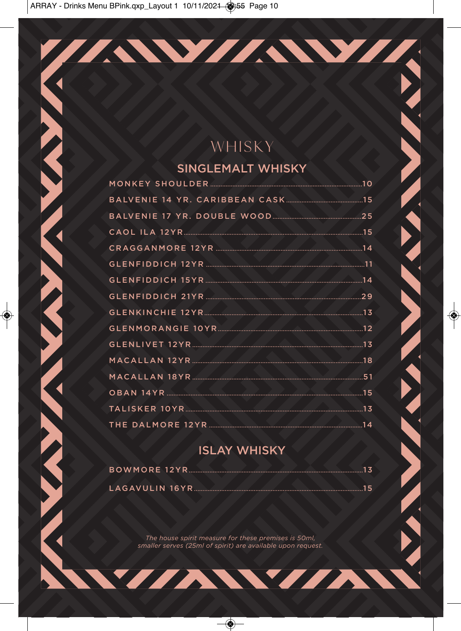# WHISKY

TAWAWA

#### **SINGLEMALT WHISKY**

| <b>CRAGGANMORE 12YR</b> 2008 2009 2014 |  |
|----------------------------------------|--|
|                                        |  |
|                                        |  |
|                                        |  |
|                                        |  |
|                                        |  |
| GLENLIVET 12YR                         |  |
|                                        |  |
| MACALLAN 18YR                          |  |
|                                        |  |
|                                        |  |
|                                        |  |

XXXX

#### **ISLAY WHISKY**

The house spirit measure for these premises is 50ml, smaller serves (25ml of spirit) are available upon request.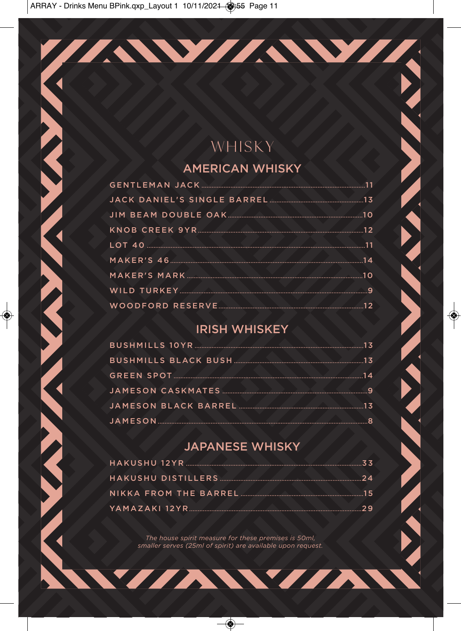# WHISKY

TAWIAWIA

#### **AMERICAN WHISKY**

| MAKER'S 46                                                                                                    |  |
|---------------------------------------------------------------------------------------------------------------|--|
|                                                                                                               |  |
| WILD TURKEY AND TURKEY OF THE RESIDENCE AND TURKEY AND TURKEY AND TURKEY AND TURKEY AND TURKEY AND TURKEY AND |  |
|                                                                                                               |  |

#### **IRISH WHISKEY**

| GREEN SPOT 14 |  |
|---------------|--|
|               |  |
|               |  |
|               |  |

#### **JAPANESE WHISKY**

| NIKKA FROM THE BARREL |  |
|-----------------------|--|
|                       |  |

The house spirit measure for these premises is 50ml, smaller serves (25ml of spirit) are available upon request.

Y/AW/AN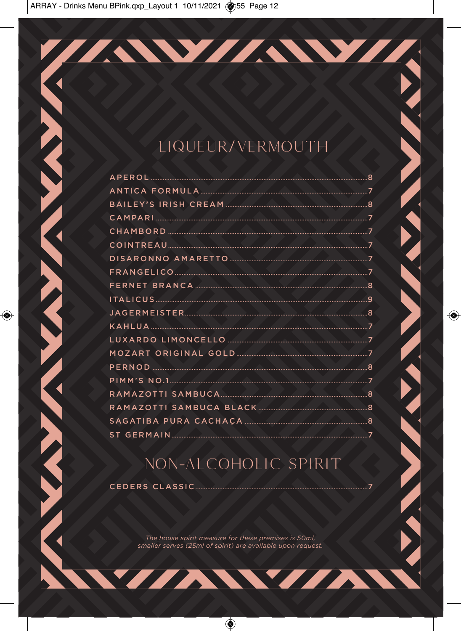# LIQUEUR/VERMOUTH

ZAWZAWZA

| APEROL 38  |  |
|------------|--|
|            |  |
|            |  |
| CAMPARI 22 |  |
|            |  |
|            |  |
|            |  |
|            |  |
|            |  |
|            |  |
|            |  |
| KAHLUA 7   |  |
|            |  |
|            |  |
|            |  |
|            |  |
|            |  |
|            |  |
|            |  |
|            |  |

## NON-ALCOHOLIC SPIRIT

CEDERS CLASSIC

The house spirit measure for these premises is 50ml, smaller serves (25ml of spirit) are available upon request.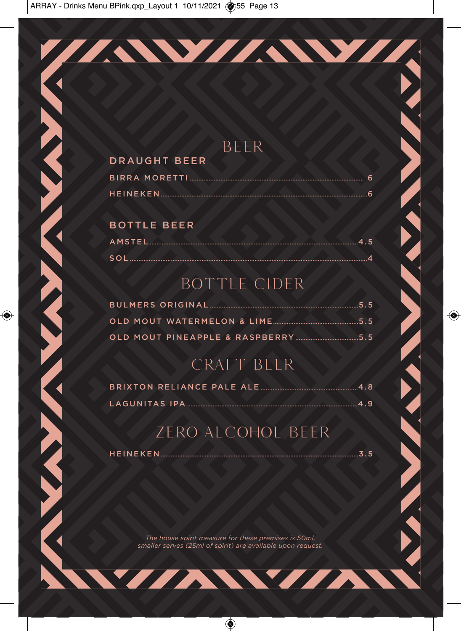### **BEER**

//AW//AW/

#### **DRAUGHT BEER**

#### **BOTTLE BEER**

| SOL |  |  |
|-----|--|--|

# BOTTLE CIDER

## CRAFT BEER

## **ZERO ALCOHOL BEER**

HEINEKEN MANAGER AND THE

 $\sim$   $\sim$  3.5

The house spirit measure for these premises is 50ml, smaller serves (25ml of spirit) are available upon request.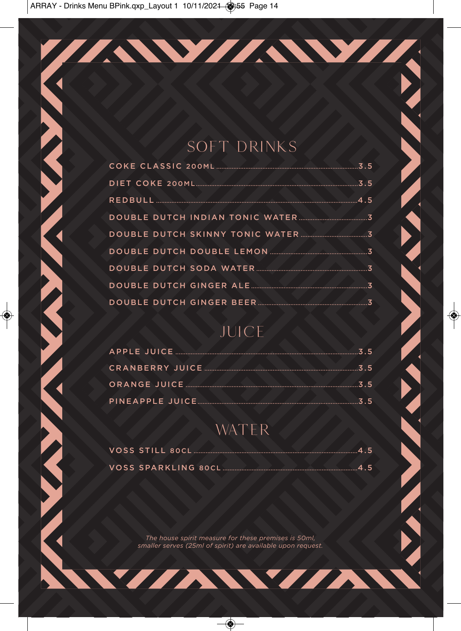## **SOFT DRINKS**

TAWIAWIA

| DOUBLE DUTCH SKINNY TONIC WATER |  |
|---------------------------------|--|
|                                 |  |
|                                 |  |
|                                 |  |
|                                 |  |

# JUICE

## WATER

The house spirit measure for these premises is 50ml, smaller serves (25ml of spirit) are available upon request.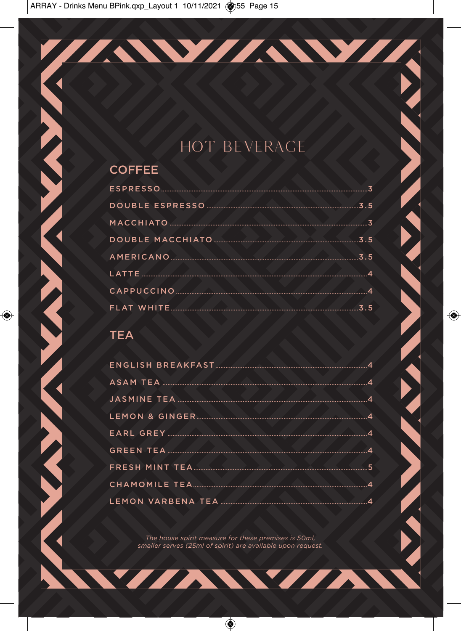# **HOT BEVERAGE**

TAWAWA

#### **COFFEE**

#### **TEA**

| LEMON & GINGER        |  |
|-----------------------|--|
|                       |  |
|                       |  |
| <b>FRESH MINT TEA</b> |  |
|                       |  |
|                       |  |
|                       |  |

The house spirit measure for these premises is 50ml, smaller serves (25ml of spirit) are available upon request.

WIANVIAN